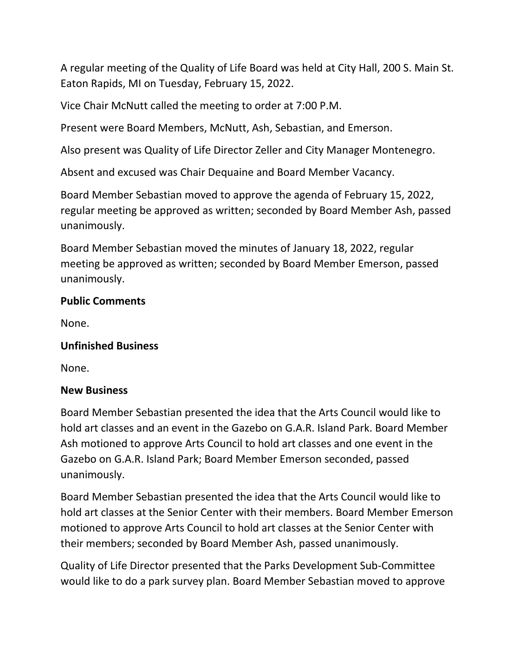A regular meeting of the Quality of Life Board was held at City Hall, 200 S. Main St. Eaton Rapids, MI on Tuesday, February 15, 2022.

Vice Chair McNutt called the meeting to order at 7:00 P.M.

Present were Board Members, McNutt, Ash, Sebastian, and Emerson.

Also present was Quality of Life Director Zeller and City Manager Montenegro.

Absent and excused was Chair Dequaine and Board Member Vacancy.

Board Member Sebastian moved to approve the agenda of February 15, 2022, regular meeting be approved as written; seconded by Board Member Ash, passed unanimously.

Board Member Sebastian moved the minutes of January 18, 2022, regular meeting be approved as written; seconded by Board Member Emerson, passed unanimously.

### **Public Comments**

None.

### **Unfinished Business**

None.

### **New Business**

Board Member Sebastian presented the idea that the Arts Council would like to hold art classes and an event in the Gazebo on G.A.R. Island Park. Board Member Ash motioned to approve Arts Council to hold art classes and one event in the Gazebo on G.A.R. Island Park; Board Member Emerson seconded, passed unanimously.

Board Member Sebastian presented the idea that the Arts Council would like to hold art classes at the Senior Center with their members. Board Member Emerson motioned to approve Arts Council to hold art classes at the Senior Center with their members; seconded by Board Member Ash, passed unanimously.

Quality of Life Director presented that the Parks Development Sub-Committee would like to do a park survey plan. Board Member Sebastian moved to approve